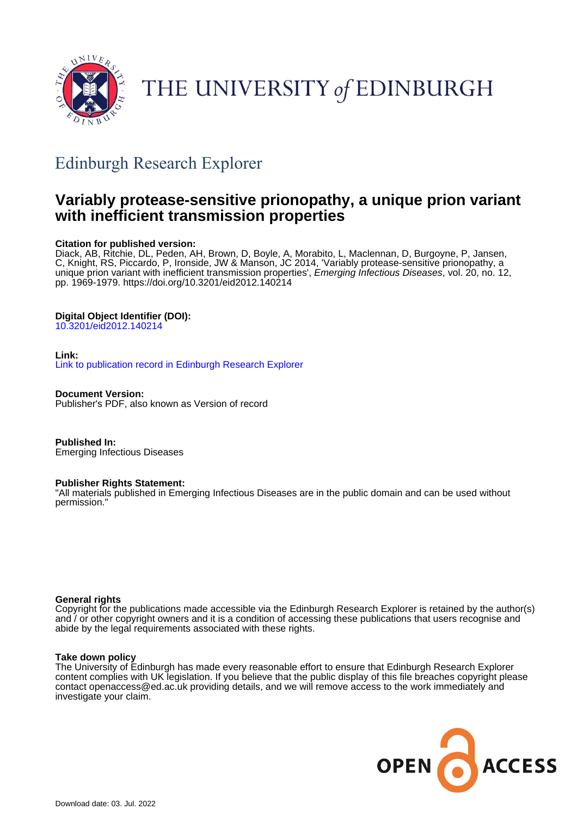

# THE UNIVERSITY of EDINBURGH

## Edinburgh Research Explorer

## **Variably protease-sensitive prionopathy, a unique prion variant with inefficient transmission properties**

## **Citation for published version:**

Diack, AB, Ritchie, DL, Peden, AH, Brown, D, Boyle, A, Morabito, L, Maclennan, D, Burgoyne, P, Jansen, C, Knight, RS, Piccardo, P, Ironside, JW & Manson, JC 2014, 'Variably protease-sensitive prionopathy, a unique prion variant with inefficient transmission properties', Emerging Infectious Diseases, vol. 20, no. 12, pp. 1969-1979.<https://doi.org/10.3201/eid2012.140214>

## **Digital Object Identifier (DOI):**

[10.3201/eid2012.140214](https://doi.org/10.3201/eid2012.140214)

## **Link:**

[Link to publication record in Edinburgh Research Explorer](https://www.research.ed.ac.uk/en/publications/6c2b9a66-a1ad-4a81-bf8d-832e0cd31238)

**Document Version:** Publisher's PDF, also known as Version of record

**Published In:** Emerging Infectious Diseases

## **Publisher Rights Statement:**

"All materials published in Emerging Infectious Diseases are in the public domain and can be used without permission."

## **General rights**

Copyright for the publications made accessible via the Edinburgh Research Explorer is retained by the author(s) and / or other copyright owners and it is a condition of accessing these publications that users recognise and abide by the legal requirements associated with these rights.

## **Take down policy**

The University of Edinburgh has made every reasonable effort to ensure that Edinburgh Research Explorer content complies with UK legislation. If you believe that the public display of this file breaches copyright please contact openaccess@ed.ac.uk providing details, and we will remove access to the work immediately and investigate your claim.

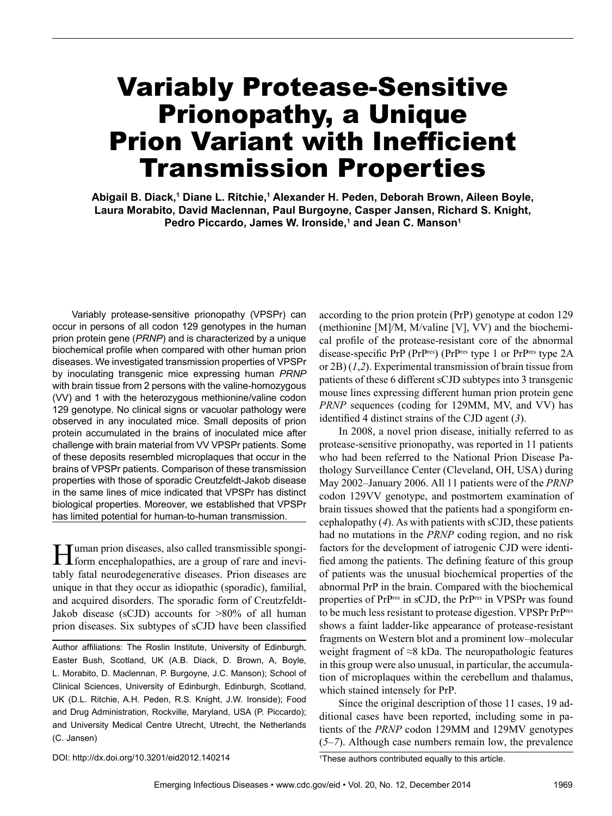# Variably Protease-Sensitive Prionopathy, a Unique Prion Variant with Inefficient Transmission Properties

Abigail B. Diack,<sup>1</sup> Diane L. Ritchie,<sup>1</sup> Alexander H. Peden, Deborah Brown, Aileen Boyle, **Laura Morabito, David Maclennan, Paul Burgoyne, Casper Jansen, Richard S. Knight,**  Pedro Piccardo, James W. Ironside,<sup>1</sup> and Jean C. Manson<sup>1</sup>

Variably protease-sensitive prionopathy (VPSPr) can occur in persons of all codon 129 genotypes in the human prion protein gene (*PRNP*) and is characterized by a unique biochemical profile when compared with other human prion diseases. We investigated transmission properties of VPSPr by inoculating transgenic mice expressing human *PRNP* with brain tissue from 2 persons with the valine-homozygous (VV) and 1 with the heterozygous methionine/valine codon 129 genotype. No clinical signs or vacuolar pathology were observed in any inoculated mice. Small deposits of prion protein accumulated in the brains of inoculated mice after challenge with brain material from VV VPSPr patients. Some of these deposits resembled microplaques that occur in the brains of VPSPr patients. Comparison of these transmission properties with those of sporadic Creutzfeldt-Jakob disease in the same lines of mice indicated that VPSPr has distinct biological properties. Moreover, we established that VPSPr has limited potential for human-to-human transmission.

Human prion diseases, also called transmissible spongi-form encephalopathies, are a group of rare and inevitably fatal neurodegenerative diseases. Prion diseases are unique in that they occur as idiopathic (sporadic), familial, and acquired disorders. The sporadic form of Creutzfeldt-Jakob disease (sCJD) accounts for >80% of all human prion diseases. Six subtypes of sCJD have been classified

Author affiliations: The Roslin Institute, University of Edinburgh, Easter Bush, Scotland, UK (A.B. Diack, D. Brown, A, Boyle, L. Morabito, D. Maclennan, P. Burgoyne, J.C. Manson); School of Clinical Sciences, University of Edinburgh, Edinburgh, Scotland, UK (D.L. Ritchie, A.H. Peden, R.S. Knight, J.W. Ironside); Food and Drug Administration, Rockville, Maryland, USA (P. Piccardo); and University Medical Centre Utrecht, Utrecht, the Netherlands (C. Jansen)

according to the prion protein (PrP) genotype at codon 129 (methionine [M]/M, M/valine [V], VV) and the biochemical profile of the protease-resistant core of the abnormal disease-specific PrP (PrPres) (PrPres type 1 or PrPres type 2A or 2B) (*1*,*2*). Experimental transmission of brain tissue from patients of these 6 different sCJD subtypes into 3 transgenic mouse lines expressing different human prion protein gene *PRNP* sequences (coding for 129MM, MV, and VV) has identified 4 distinct strains of the CJD agent (*3*).

In 2008, a novel prion disease, initially referred to as protease-sensitive prionopathy, was reported in 11 patients who had been referred to the National Prion Disease Pathology Surveillance Center (Cleveland, OH, USA) during May 2002–January 2006. All 11 patients were of the *PRNP* codon 129VV genotype, and postmortem examination of brain tissues showed that the patients had a spongiform encephalopathy (*4*). As with patients with sCJD, these patients had no mutations in the *PRNP* coding region, and no risk factors for the development of iatrogenic CJD were identified among the patients. The defining feature of this group of patients was the unusual biochemical properties of the abnormal PrP in the brain. Compared with the biochemical properties of PrPres in sCJD, the PrPres in VPSPr was found to be much less resistant to protease digestion. VPSPr PrPres shows a faint ladder-like appearance of protease-resistant fragments on Western blot and a prominent low–molecular weight fragment of ≈8 kDa. The neuropathologic features in this group were also unusual, in particular, the accumulation of microplaques within the cerebellum and thalamus, which stained intensely for PrP.

Since the original description of those 11 cases, 19 additional cases have been reported, including some in patients of the *PRNP* codon 129MM and 129MV genotypes (*5*–*7*). Although case numbers remain low, the prevalence

DOI: http://dx.doi.org/10.3201/eid2012.140214 <sup>1</sup>

<sup>&</sup>lt;sup>1</sup>These authors contributed equally to this article.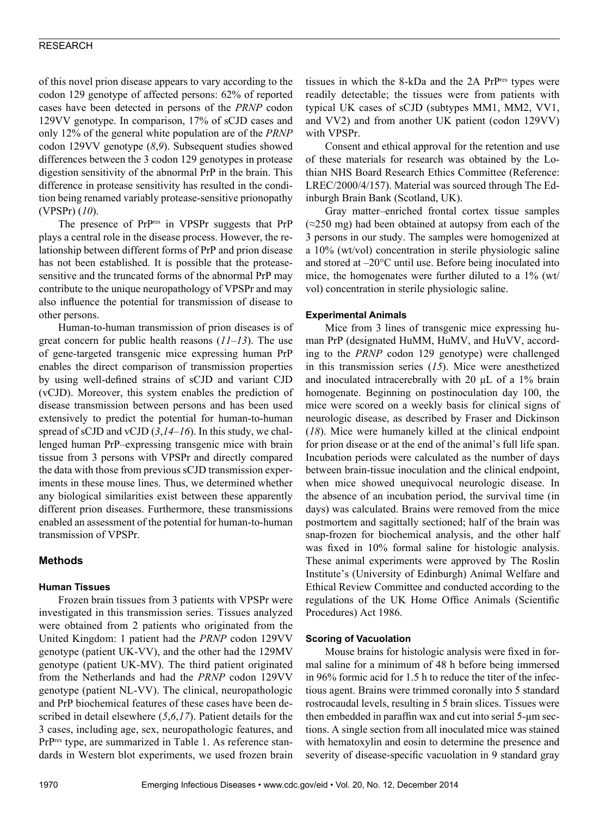of this novel prion disease appears to vary according to the codon 129 genotype of affected persons: 62% of reported cases have been detected in persons of the *PRNP* codon 129VV genotype. In comparison, 17% of sCJD cases and only 12% of the general white population are of the *PRNP* codon 129VV genotype (*8*,*9*). Subsequent studies showed differences between the 3 codon 129 genotypes in protease digestion sensitivity of the abnormal PrP in the brain. This difference in protease sensitivity has resulted in the condition being renamed variably protease-sensitive prionopathy (VPSPr) (*10*).

The presence of PrPres in VPSPr suggests that PrP plays a central role in the disease process. However, the relationship between different forms of PrP and prion disease has not been established. It is possible that the proteasesensitive and the truncated forms of the abnormal PrP may contribute to the unique neuropathology of VPSPr and may also influence the potential for transmission of disease to other persons.

Human-to-human transmission of prion diseases is of great concern for public health reasons (*11*–*13*). The use of gene-targeted transgenic mice expressing human PrP enables the direct comparison of transmission properties by using well-defined strains of sCJD and variant CJD (vCJD). Moreover, this system enables the prediction of disease transmission between persons and has been used extensively to predict the potential for human-to-human spread of sCJD and vCJD (*3*,*14*–*16*). In this study, we challenged human PrP–expressing transgenic mice with brain tissue from 3 persons with VPSPr and directly compared the data with those from previous sCJD transmission experiments in these mouse lines. Thus, we determined whether any biological similarities exist between these apparently different prion diseases. Furthermore, these transmissions enabled an assessment of the potential for human-to-human transmission of VPSPr.

## **Methods**

#### **Human Tissues**

Frozen brain tissues from 3 patients with VPSPr were investigated in this transmission series. Tissues analyzed were obtained from 2 patients who originated from the United Kingdom: 1 patient had the *PRNP* codon 129VV genotype (patient UK-VV), and the other had the 129MV genotype (patient UK-MV). The third patient originated from the Netherlands and had the *PRNP* codon 129VV genotype (patient NL-VV). The clinical, neuropathologic and PrP biochemical features of these cases have been described in detail elsewhere (*5*,*6*,*17*). Patient details for the 3 cases, including age, sex, neuropathologic features, and PrPres type, are summarized in Table 1. As reference standards in Western blot experiments, we used frozen brain

tissues in which the 8-kDa and the 2A PrPres types were readily detectable; the tissues were from patients with typical UK cases of sCJD (subtypes MM1, MM2, VV1, and VV2) and from another UK patient (codon 129VV) with VPSPr.

Consent and ethical approval for the retention and use of these materials for research was obtained by the Lothian NHS Board Research Ethics Committee (Reference: LREC/2000/4/157). Material was sourced through The Edinburgh Brain Bank (Scotland, UK).

Gray matter–enriched frontal cortex tissue samples  $(\approx 250 \text{ mg})$  had been obtained at autopsy from each of the 3 persons in our study. The samples were homogenized at a 10% (wt/vol) concentration in sterile physiologic saline and stored at –20°C until use. Before being inoculated into mice, the homogenates were further diluted to a 1% (wt/ vol) concentration in sterile physiologic saline.

#### **Experimental Animals**

Mice from 3 lines of transgenic mice expressing human PrP (designated HuMM, HuMV, and HuVV, according to the *PRNP* codon 129 genotype) were challenged in this transmission series (*15*). Mice were anesthetized and inoculated intracerebrally with 20 μL of a 1% brain homogenate. Beginning on postinoculation day 100, the mice were scored on a weekly basis for clinical signs of neurologic disease, as described by Fraser and Dickinson (*18*). Mice were humanely killed at the clinical endpoint for prion disease or at the end of the animal's full life span. Incubation periods were calculated as the number of days between brain-tissue inoculation and the clinical endpoint, when mice showed unequivocal neurologic disease. In the absence of an incubation period, the survival time (in days) was calculated. Brains were removed from the mice postmortem and sagittally sectioned; half of the brain was snap-frozen for biochemical analysis, and the other half was fixed in 10% formal saline for histologic analysis. These animal experiments were approved by The Roslin Institute's (University of Edinburgh) Animal Welfare and Ethical Review Committee and conducted according to the regulations of the UK Home Office Animals (Scientific Procedures) Act 1986.

#### **Scoring of Vacuolation**

Mouse brains for histologic analysis were fixed in formal saline for a minimum of 48 h before being immersed in 96% formic acid for 1.5 h to reduce the titer of the infectious agent. Brains were trimmed coronally into 5 standard rostrocaudal levels, resulting in 5 brain slices. Tissues were then embedded in paraffin wax and cut into serial 5-μm sections. A single section from all inoculated mice was stained with hematoxylin and eosin to determine the presence and severity of disease-specific vacuolation in 9 standard gray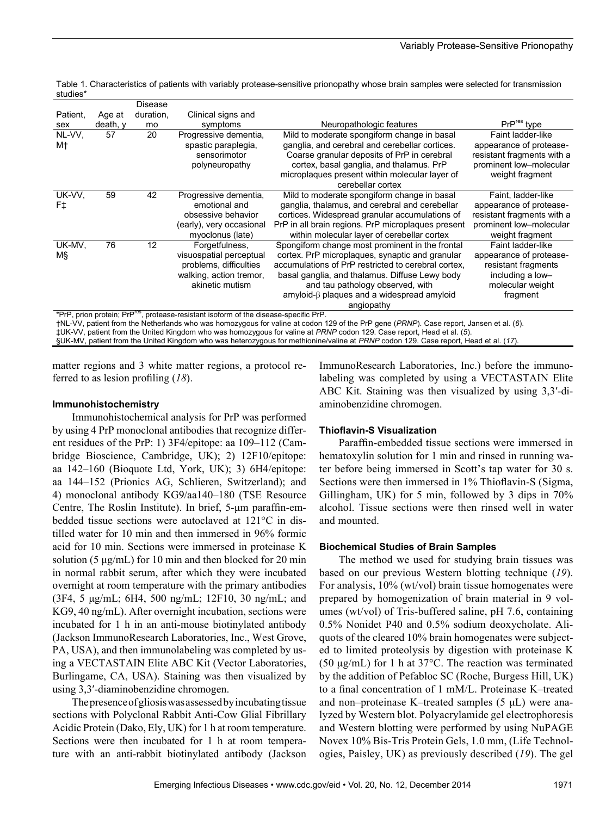|                                                                                                                                       |          | Disease   |                          |                                                      |                            |  |
|---------------------------------------------------------------------------------------------------------------------------------------|----------|-----------|--------------------------|------------------------------------------------------|----------------------------|--|
| Patient,                                                                                                                              | Age at   | duration, | Clinical signs and       |                                                      |                            |  |
| sex                                                                                                                                   | death, v | mo        | symptoms                 | Neuropathologic features                             | PrP <sup>res</sup> type    |  |
| NL-VV.                                                                                                                                | 57       | 20        | Progressive dementia,    | Mild to moderate spongiform change in basal          | Faint ladder-like          |  |
| M†                                                                                                                                    |          |           | spastic paraplegia,      | ganglia, and cerebral and cerebellar cortices.       | appearance of protease-    |  |
|                                                                                                                                       |          |           | sensorimotor             | Coarse granular deposits of PrP in cerebral          | resistant fragments with a |  |
|                                                                                                                                       |          |           | polyneuropathy           | cortex, basal ganglia, and thalamus. PrP             | prominent low-molecular    |  |
|                                                                                                                                       |          |           |                          | microplaques present within molecular layer of       | weight fragment            |  |
|                                                                                                                                       |          |           |                          | cerebellar cortex                                    |                            |  |
| UK-VV.                                                                                                                                | 59       | 42        | Progressive dementia,    | Mild to moderate spongiform change in basal          | Faint, ladder-like         |  |
| F‡                                                                                                                                    |          |           | emotional and            | ganglia, thalamus, and cerebral and cerebellar       | appearance of protease-    |  |
|                                                                                                                                       |          |           | obsessive behavior       | cortices. Widespread granular accumulations of       | resistant fragments with a |  |
|                                                                                                                                       |          |           | (early), very occasional | PrP in all brain regions. PrP microplagues present   | prominent low-molecular    |  |
|                                                                                                                                       |          |           | myoclonus (late)         | within molecular layer of cerebellar cortex          | weight fragment            |  |
| UK-MV,                                                                                                                                | 76       | 12        | Forgetfulness,           | Spongiform change most prominent in the frontal      | Faint ladder-like          |  |
| ΜŞ                                                                                                                                    |          |           | visuospatial perceptual  | cortex. PrP microplagues, synaptic and granular      | appearance of protease-    |  |
|                                                                                                                                       |          |           | problems, difficulties   | accumulations of PrP restricted to cerebral cortex,  | resistant fragments        |  |
|                                                                                                                                       |          |           | walking, action tremor,  | basal ganglia, and thalamus. Diffuse Lewy body       | including a low-           |  |
|                                                                                                                                       |          |           | akinetic mutism          | and tau pathology observed, with                     | molecular weight           |  |
|                                                                                                                                       |          |           |                          | $am$ yloid- $\beta$ plaques and a widespread amyloid | fragment                   |  |
|                                                                                                                                       |          |           |                          | angiopathy                                           |                            |  |
| *PrP, prion protein; PrP <sup>res</sup> , protease-resistant isoform of the disease-specific PrP.                                     |          |           |                          |                                                      |                            |  |
| thil JAL patient from the Netherlands who was homozygous for valine at codon 120 of the PrP gene (PRNP) Case report Jansen et al. (6) |          |           |                          |                                                      |                            |  |

Table 1. Characteristics of patients with variably protease-sensitive prionopathy whose brain samples were selected for transmission studies\*

†NL-VV, patient from the Netherlands who was homozygous for valine at codon 129 of the PrP gene (*PRNP*). Case report, Jansen et al. (*6*). ‡UK-VV, patient from the United Kingdom who was homozygous for valine at *PRNP* codon 129. Case report, Head et al. (*5*). §UK-MV, patient from the United Kingdom who was heterozygous for methionine/valine at *PRNP* codon 129. Case report, Head et al. (*17*).

matter regions and 3 white matter regions, a protocol referred to as lesion profiling (*18*).

#### **Immunohistochemistry**

Immunohistochemical analysis for PrP was performed by using 4 PrP monoclonal antibodies that recognize different residues of the PrP: 1) 3F4/epitope: aa 109–112 (Cambridge Bioscience, Cambridge, UK); 2) 12F10/epitope: aa 142–160 (Bioquote Ltd, York, UK); 3) 6H4/epitope: aa 144–152 (Prionics AG, Schlieren, Switzerland); and 4) monoclonal antibody KG9/aa140–180 (TSE Resource Centre, The Roslin Institute). In brief, 5-μm paraffin-embedded tissue sections were autoclaved at 121°C in distilled water for 10 min and then immersed in 96% formic acid for 10 min. Sections were immersed in proteinase K solution (5 μg/mL) for 10 min and then blocked for 20 min in normal rabbit serum, after which they were incubated overnight at room temperature with the primary antibodies (3F4, 5 μg/mL; 6H4, 500 ng/mL; 12F10, 30 ng/mL; and KG9, 40 ng/mL). After overnight incubation, sections were incubated for 1 h in an anti-mouse biotinylated antibody (Jackson ImmunoResearch Laboratories, Inc., West Grove, PA, USA), and then immunolabeling was completed by using a VECTASTAIN Elite ABC Kit (Vector Laboratories, Burlingame, CA, USA). Staining was then visualized by using 3,3′-diaminobenzidine chromogen.

The presence of gliosis was assessed by incubating tissue sections with Polyclonal Rabbit Anti-Cow Glial Fibrillary Acidic Protein (Dako, Ely, UK) for 1 h at room temperature. Sections were then incubated for 1 h at room temperature with an anti-rabbit biotinylated antibody (Jackson

ImmunoResearch Laboratories, Inc.) before the immunolabeling was completed by using a VECTASTAIN Elite ABC Kit. Staining was then visualized by using 3,3′-diaminobenzidine chromogen.

#### **Thioflavin-S Visualization**

Paraffin-embedded tissue sections were immersed in hematoxylin solution for 1 min and rinsed in running water before being immersed in Scott's tap water for 30 s. Sections were then immersed in 1% Thioflavin-S (Sigma, Gillingham, UK) for 5 min, followed by 3 dips in 70% alcohol. Tissue sections were then rinsed well in water and mounted.

#### **Biochemical Studies of Brain Samples**

The method we used for studying brain tissues was based on our previous Western blotting technique (*19*). For analysis, 10% (wt/vol) brain tissue homogenates were prepared by homogenization of brain material in 9 volumes (wt/vol) of Tris-buffered saline, pH 7.6, containing 0.5% Nonidet P40 and 0.5% sodium deoxycholate. Aliquots of the cleared 10% brain homogenates were subjected to limited proteolysis by digestion with proteinase K (50 μg/mL) for 1 h at 37°C. The reaction was terminated by the addition of Pefabloc SC (Roche, Burgess Hill, UK) to a final concentration of 1 mM/L. Proteinase K–treated and non–proteinase K–treated samples  $(5 \mu L)$  were analyzed by Western blot. Polyacrylamide gel electrophoresis and Western blotting were performed by using NuPAGE Novex 10% Bis-Tris Protein Gels, 1.0 mm, (Life Technologies, Paisley, UK) as previously described (*19*). The gel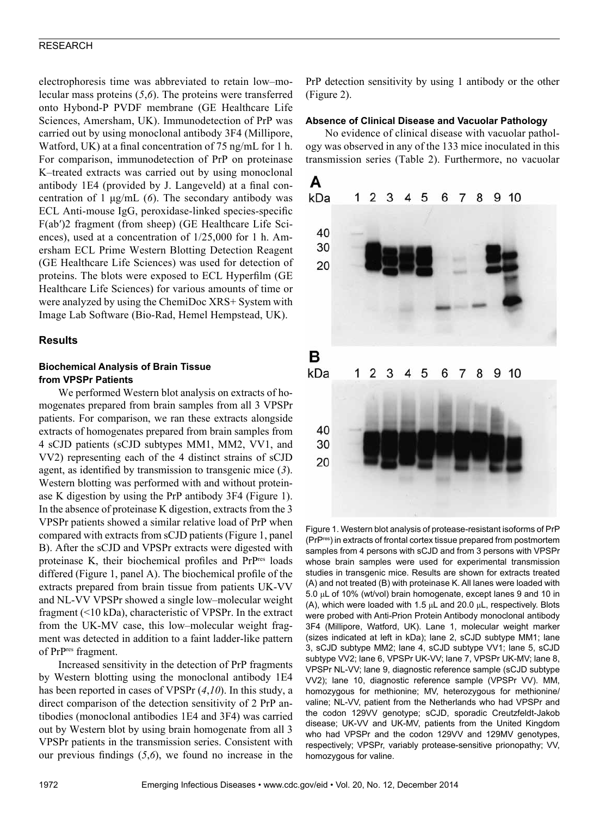electrophoresis time was abbreviated to retain low–molecular mass proteins (*5*,*6*). The proteins were transferred onto Hybond-P PVDF membrane (GE Healthcare Life Sciences, Amersham, UK). Immunodetection of PrP was carried out by using monoclonal antibody 3F4 (Millipore, Watford, UK) at a final concentration of 75 ng/mL for 1 h. For comparison, immunodetection of PrP on proteinase K–treated extracts was carried out by using monoclonal antibody 1E4 (provided by J. Langeveld) at a final concentration of 1 μg/mL (*6*). The secondary antibody was ECL Anti-mouse IgG, peroxidase-linked species-specific F(ab′)2 fragment (from sheep) (GE Healthcare Life Sciences), used at a concentration of 1/25,000 for 1 h. Amersham ECL Prime Western Blotting Detection Reagent (GE Healthcare Life Sciences) was used for detection of proteins. The blots were exposed to ECL Hyperfilm (GE Healthcare Life Sciences) for various amounts of time or were analyzed by using the ChemiDoc XRS+ System with Image Lab Software (Bio-Rad, Hemel Hempstead, UK).

## **Results**

#### **Biochemical Analysis of Brain Tissue from VPSPr Patients**

We performed Western blot analysis on extracts of homogenates prepared from brain samples from all 3 VPSPr patients. For comparison, we ran these extracts alongside extracts of homogenates prepared from brain samples from 4 sCJD patients (sCJD subtypes MM1, MM2, VV1, and VV2) representing each of the 4 distinct strains of sCJD agent, as identified by transmission to transgenic mice (*3*). Western blotting was performed with and without proteinase K digestion by using the PrP antibody 3F4 (Figure 1). In the absence of proteinase K digestion, extracts from the 3 VPSPr patients showed a similar relative load of PrP when compared with extracts from sCJD patients (Figure 1, panel B). After the sCJD and VPSPr extracts were digested with proteinase K, their biochemical profiles and PrPres loads differed (Figure 1, panel A). The biochemical profile of the extracts prepared from brain tissue from patients UK-VV and NL-VV VPSPr showed a single low–molecular weight fragment (<10 kDa), characteristic of VPSPr. In the extract from the UK-MV case, this low–molecular weight fragment was detected in addition to a faint ladder-like pattern of PrPres fragment.

Increased sensitivity in the detection of PrP fragments by Western blotting using the monoclonal antibody 1E4 has been reported in cases of VPSPr (*4*,*10*). In this study, a direct comparison of the detection sensitivity of 2 PrP antibodies (monoclonal antibodies 1E4 and 3F4) was carried out by Western blot by using brain homogenate from all 3 VPSPr patients in the transmission series. Consistent with our previous findings (*5*,*6*), we found no increase in the PrP detection sensitivity by using 1 antibody or the other (Figure 2).

#### **Absence of Clinical Disease and Vacuolar Pathology**

No evidence of clinical disease with vacuolar pathology was observed in any of the 133 mice inoculated in this transmission series (Table 2). Furthermore, no vacuolar



Figure 1. Western blot analysis of protease-resistant isoforms of PrP (PrPres) in extracts of frontal cortex tissue prepared from postmortem samples from 4 persons with sCJD and from 3 persons with VPSPr whose brain samples were used for experimental transmission studies in transgenic mice. Results are shown for extracts treated (A) and not treated (B) with proteinase K. All lanes were loaded with 5.0 μL of 10% (wt/vol) brain homogenate, except lanes 9 and 10 in (A), which were loaded with 1.5 μL and 20.0 μL, respectively. Blots were probed with Anti-Prion Protein Antibody monoclonal antibody 3F4 (Millipore, Watford, UK). Lane 1, molecular weight marker (sizes indicated at left in kDa); lane 2, sCJD subtype MM1; lane 3, sCJD subtype MM2; lane 4, sCJD subtype VV1; lane 5, sCJD subtype VV2; lane 6, VPSPr UK-VV; lane 7, VPSPr UK-MV; lane 8, VPSPr NL-VV; lane 9, diagnostic reference sample (sCJD subtype VV2); lane 10, diagnostic reference sample (VPSPr VV). MM, homozygous for methionine; MV, heterozygous for methionine/ valine; NL-VV, patient from the Netherlands who had VPSPr and the codon 129VV genotype; sCJD, sporadic Creutzfeldt-Jakob disease; UK-VV and UK-MV, patients from the United Kingdom who had VPSPr and the codon 129VV and 129MV genotypes, respectively; VPSPr, variably protease-sensitive prionopathy; VV, homozygous for valine.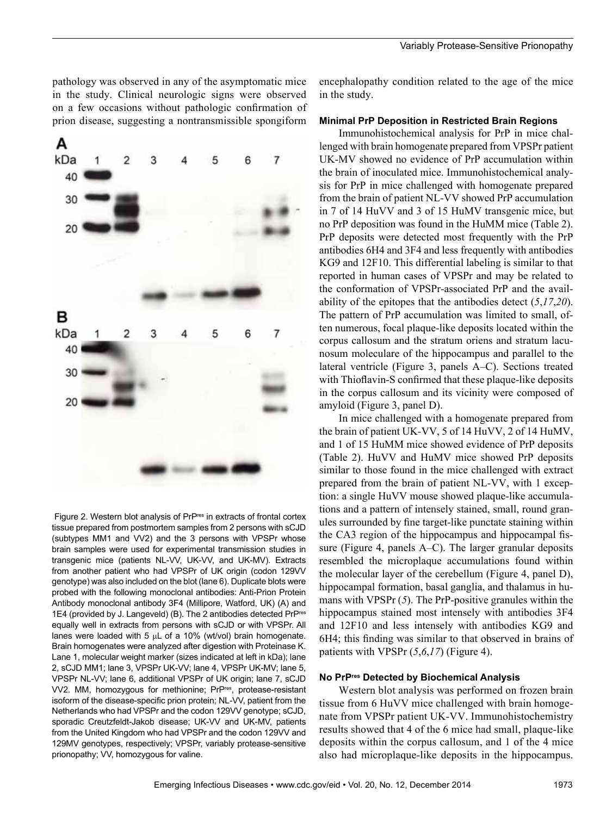pathology was observed in any of the asymptomatic mice in the study. Clinical neurologic signs were observed on a few occasions without pathologic confirmation of prion disease, suggesting a nontransmissible spongiform





encephalopathy condition related to the age of the mice in the study.

#### **Minimal PrP Deposition in Restricted Brain Regions**

Immunohistochemical analysis for PrP in mice challenged with brain homogenate prepared from VPSPr patient UK-MV showed no evidence of PrP accumulation within the brain of inoculated mice. Immunohistochemical analysis for PrP in mice challenged with homogenate prepared from the brain of patient NL-VV showed PrP accumulation in 7 of 14 HuVV and 3 of 15 HuMV transgenic mice, but no PrP deposition was found in the HuMM mice (Table 2). PrP deposits were detected most frequently with the PrP antibodies 6H4 and 3F4 and less frequently with antibodies KG9 and 12F10. This differential labeling is similar to that reported in human cases of VPSPr and may be related to the conformation of VPSPr-associated PrP and the availability of the epitopes that the antibodies detect (*5*,*17*,*20*). The pattern of PrP accumulation was limited to small, often numerous, focal plaque-like deposits located within the corpus callosum and the stratum oriens and stratum lacunosum moleculare of the hippocampus and parallel to the lateral ventricle (Figure 3, panels A–C). Sections treated with Thioflavin-S confirmed that these plaque-like deposits in the corpus callosum and its vicinity were composed of amyloid (Figure 3, panel D).

In mice challenged with a homogenate prepared from the brain of patient UK-VV, 5 of 14 HuVV, 2 of 14 HuMV, and 1 of 15 HuMM mice showed evidence of PrP deposits (Table 2). HuVV and HuMV mice showed PrP deposits similar to those found in the mice challenged with extract prepared from the brain of patient NL-VV, with 1 exception: a single HuVV mouse showed plaque-like accumulations and a pattern of intensely stained, small, round granules surrounded by fine target-like punctate staining within the CA3 region of the hippocampus and hippocampal fissure (Figure 4, panels A–C). The larger granular deposits resembled the microplaque accumulations found within the molecular layer of the cerebellum (Figure 4, panel D), hippocampal formation, basal ganglia, and thalamus in humans with VPSPr (*5*). The PrP-positive granules within the hippocampus stained most intensely with antibodies 3F4 and 12F10 and less intensely with antibodies KG9 and 6H4; this finding was similar to that observed in brains of patients with VPSPr  $(5, 6, 17)$  (Figure 4).

#### **No PrPres Detected by Biochemical Analysis**

Western blot analysis was performed on frozen brain tissue from 6 HuVV mice challenged with brain homogenate from VPSPr patient UK-VV. Immunohistochemistry results showed that 4 of the 6 mice had small, plaque-like deposits within the corpus callosum, and 1 of the 4 mice also had microplaque-like deposits in the hippocampus.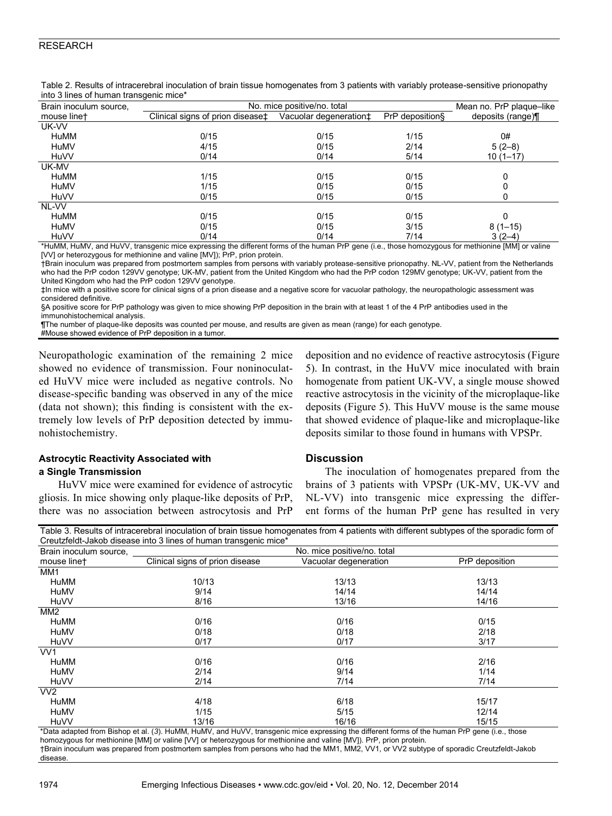|                        | mito o imico or rightight transquillo rilloc |                                                   |                 |                   |  |  |  |  |  |
|------------------------|----------------------------------------------|---------------------------------------------------|-----------------|-------------------|--|--|--|--|--|
| Brain inoculum source, | No. mice positive/no. total                  | Mean no. PrP plaque-like                          |                 |                   |  |  |  |  |  |
| mouse linet            | Clinical signs of prion disease‡             | Vacuolar degeneration <sup><math>\pm</math></sup> | PrP deposition§ | deposits (range)¶ |  |  |  |  |  |
| UK-VV                  |                                              |                                                   |                 |                   |  |  |  |  |  |
| HuMM                   | 0/15                                         | 0/15                                              | 1/15            | 0#                |  |  |  |  |  |
| HuMV                   | 4/15                                         | 0/15                                              | 2/14            | $5(2-8)$          |  |  |  |  |  |
| HuVV                   | 0/14                                         | 0/14                                              | 5/14            | $10(1 - 17)$      |  |  |  |  |  |
| UK-MV                  |                                              |                                                   |                 |                   |  |  |  |  |  |
| HuMM                   | 1/15                                         | 0/15                                              | 0/15            | 0                 |  |  |  |  |  |
| HuMV                   | 1/15                                         | 0/15                                              | 0/15            |                   |  |  |  |  |  |
| <b>HuVV</b>            | 0/15                                         | 0/15                                              | 0/15            |                   |  |  |  |  |  |
| NL-VV                  |                                              |                                                   |                 |                   |  |  |  |  |  |
| HuMM                   | 0/15                                         | 0/15                                              | 0/15            | $\Omega$          |  |  |  |  |  |
| HuMV                   | 0/15                                         | 0/15                                              | 3/15            | $8(1-15)$         |  |  |  |  |  |
| <b>HuVV</b>            | 0/14                                         | 0/14                                              | 7/14            | $3(2-4)$          |  |  |  |  |  |

Table 2. Results of intracerebral inoculation of brain tissue homogenates from 3 patients with variably protease-sensitive prionopathy into 3 lines of human transgenic mice\*

\*HuMM, HuMV, and HuVV, transgenic mice expressing the different forms of the human PrP gene (i.e., those homozygous for methionine [MM] or valine [VV] or heterozygous for methionine and valine [MV]); PrP, prion protein.

†Brain inoculum was prepared from postmortem samples from persons with variably protease-sensitive prionopathy. NL-VV, patient from the Netherlands who had the PrP codon 129VV genotype; UK-MV, patient from the United Kingdom who had the PrP codon 129MV genotype; UK-VV, patient from the United Kingdom who had the PrP codon 129VV genotype.

‡In mice with a positive score for clinical signs of a prion disease and a negative score for vacuolar pathology, the neuropathologic assessment was considered definitive.

§A positive score for PrP pathology was given to mice showing PrP deposition in the brain with at least 1 of the 4 PrP antibodies used in the immunohistochemical analysis.

¶The number of plaque-like deposits was counted per mouse, and results are given as mean (range) for each genotype.

#Mouse showed evidence of PrP deposition in a tumor.

Neuropathologic examination of the remaining 2 mice showed no evidence of transmission. Four noninoculated HuVV mice were included as negative controls. No disease-specific banding was observed in any of the mice (data not shown); this finding is consistent with the extremely low levels of PrP deposition detected by immunohistochemistry.

## **Astrocytic Reactivity Associated with a Single Transmission**

HuVV mice were examined for evidence of astrocytic gliosis. In mice showing only plaque-like deposits of PrP, there was no association between astrocytosis and PrP

## 5). In contrast, in the HuVV mice inoculated with brain homogenate from patient UK-VV, a single mouse showed reactive astrocytosis in the vicinity of the microplaque-like deposits (Figure 5). This HuVV mouse is the same mouse that showed evidence of plaque-like and microplaque-like deposits similar to those found in humans with VPSPr.

deposition and no evidence of reactive astrocytosis (Figure

## **Discussion**

The inoculation of homogenates prepared from the brains of 3 patients with VPSPr (UK-MV, UK-VV and NL-VV) into transgenic mice expressing the different forms of the human PrP gene has resulted in very

Table 3. Results of intracerebral inoculation of brain tissue homogenates from 4 patients with different subtypes of the sporadic form of Creutzfeldt-Jakob disease into 3 lines of human transgenic mice\*

| Brain inoculum source, | Orcalzicial-partop discusse into 9 illics or harman transgerile intoc- | No. mice positive/no. total |                |  |
|------------------------|------------------------------------------------------------------------|-----------------------------|----------------|--|
| mouse linet            | Clinical signs of prion disease                                        | Vacuolar degeneration       | PrP deposition |  |
| MM1                    |                                                                        |                             |                |  |
| HuMM                   | 10/13                                                                  | 13/13                       | 13/13          |  |
| HuMV                   | 9/14                                                                   | 14/14                       | 14/14          |  |
| <b>HuVV</b>            | 8/16                                                                   | 13/16                       | 14/16          |  |
| MM <sub>2</sub>        |                                                                        |                             |                |  |
| HuMM                   | 0/16                                                                   | 0/16                        | 0/15           |  |
| HuMV                   | 0/18                                                                   | 0/18                        | 2/18           |  |
| <b>HuVV</b>            | 0/17                                                                   | 0/17                        | 3/17           |  |
| VV <sub>1</sub>        |                                                                        |                             |                |  |
| <b>HuMM</b>            | 0/16                                                                   | 0/16                        | 2/16           |  |
| HuMV                   | 2/14                                                                   | 9/14                        | 1/14           |  |
| <b>HuVV</b>            | 2/14                                                                   | 7/14                        | 7/14           |  |
| VV <sub>2</sub>        |                                                                        |                             |                |  |
| <b>HuMM</b>            | 4/18                                                                   | 6/18                        | 15/17          |  |
| HuMV                   | 1/15                                                                   | 5/15                        | 12/14          |  |
| <b>HuVV</b>            | 13/16                                                                  | 16/16                       | 15/15          |  |

\*Data adapted from Bishop et al. (*3*). HuMM, HuMV, and HuVV, transgenic mice expressing the different forms of the human PrP gene (i.e., those homozygous for methionine [MM] or valine [VV] or heterozygous for methionine and valine [MV]). PrP, prion protein. †Brain inoculum was prepared from postmortem samples from persons who had the MM1, MM2, VV1, or VV2 subtype of sporadic Creutzfeldt-Jakob disease.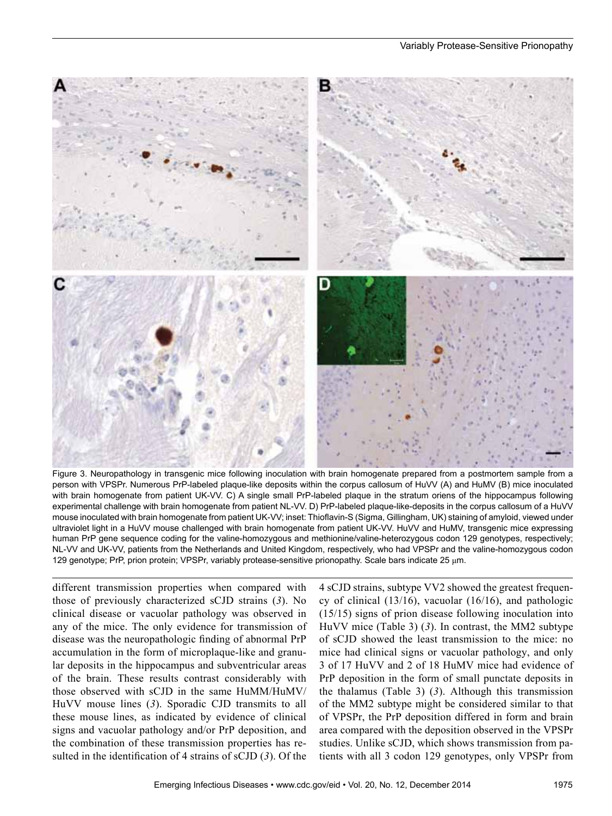

Figure 3. Neuropathology in transgenic mice following inoculation with brain homogenate prepared from a postmortem sample from a person with VPSPr. Numerous PrP-labeled plaque-like deposits within the corpus callosum of HuVV (A) and HuMV (B) mice inoculated with brain homogenate from patient UK-VV. C) A single small PrP-labeled plaque in the stratum oriens of the hippocampus following experimental challenge with brain homogenate from patient NL-VV. D) PrP-labeled plaque-like-deposits in the corpus callosum of a HuVV mouse inoculated with brain homogenate from patient UK-VV; inset: Thioflavin-S (Sigma, Gillingham, UK) staining of amyloid, viewed under ultraviolet light in a HuVV mouse challenged with brain homogenate from patient UK-VV. HuVV and HuMV, transgenic mice expressing human PrP gene sequence coding for the valine-homozygous and methionine/valine-heterozygous codon 129 genotypes, respectively; NL-VV and UK-VV, patients from the Netherlands and United Kingdom, respectively, who had VPSPr and the valine-homozygous codon 129 genotype; PrP, prion protein; VPSPr, variably protease-sensitive prionopathy. Scale bars indicate 25 μm.

different transmission properties when compared with those of previously characterized sCJD strains (*3*). No clinical disease or vacuolar pathology was observed in any of the mice. The only evidence for transmission of disease was the neuropathologic finding of abnormal PrP accumulation in the form of microplaque-like and granular deposits in the hippocampus and subventricular areas of the brain. These results contrast considerably with those observed with sCJD in the same HuMM/HuMV/ HuVV mouse lines (*3*). Sporadic CJD transmits to all these mouse lines, as indicated by evidence of clinical signs and vacuolar pathology and/or PrP deposition, and the combination of these transmission properties has resulted in the identification of 4 strains of sCJD (*3*). Of the

4 sCJD strains, subtype VV2 showed the greatest frequency of clinical (13/16), vacuolar (16/16), and pathologic (15/15) signs of prion disease following inoculation into HuVV mice (Table 3) (*3*). In contrast, the MM2 subtype of sCJD showed the least transmission to the mice: no mice had clinical signs or vacuolar pathology, and only 3 of 17 HuVV and 2 of 18 HuMV mice had evidence of PrP deposition in the form of small punctate deposits in the thalamus (Table 3) (*3*). Although this transmission of the MM2 subtype might be considered similar to that of VPSPr, the PrP deposition differed in form and brain area compared with the deposition observed in the VPSPr studies. Unlike sCJD, which shows transmission from patients with all 3 codon 129 genotypes, only VPSPr from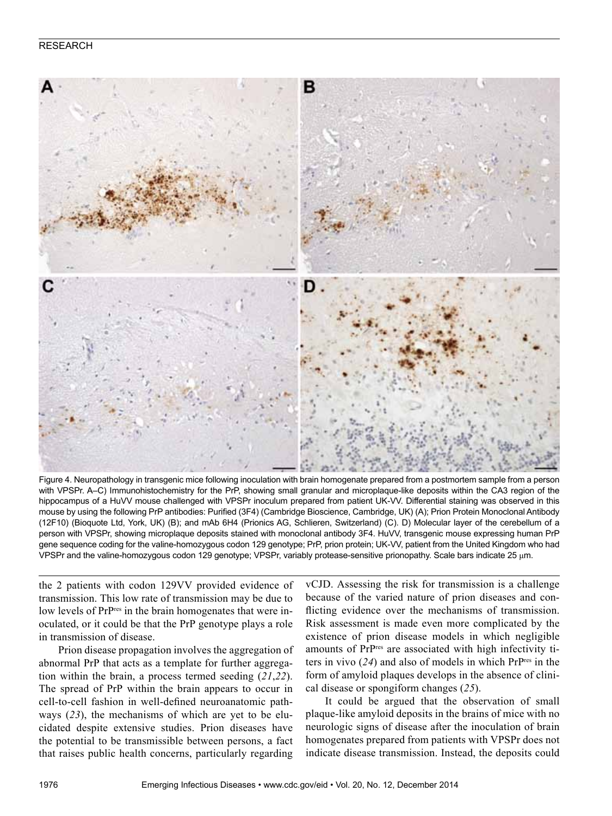

Figure 4. Neuropathology in transgenic mice following inoculation with brain homogenate prepared from a postmortem sample from a person with VPSPr. A–C) Immunohistochemistry for the PrP, showing small granular and microplaque-like deposits within the CA3 region of the hippocampus of a HuVV mouse challenged with VPSPr inoculum prepared from patient UK-VV. Differential staining was observed in this mouse by using the following PrP antibodies: Purified (3F4) (Cambridge Bioscience, Cambridge, UK) (A); Prion Protein Monoclonal Antibody (12F10) (Bioquote Ltd, York, UK) (B); and mAb 6H4 (Prionics AG, Schlieren, Switzerland) (C). D) Molecular layer of the cerebellum of a person with VPSPr, showing microplaque deposits stained with monoclonal antibody 3F4. HuVV, transgenic mouse expressing human PrP gene sequence coding for the valine-homozygous codon 129 genotype; PrP, prion protein; UK-VV, patient from the United Kingdom who had VPSPr and the valine-homozygous codon 129 genotype; VPSPr, variably protease-sensitive prionopathy. Scale bars indicate 25 μm.

the 2 patients with codon 129VV provided evidence of transmission. This low rate of transmission may be due to low levels of PrPres in the brain homogenates that were inoculated, or it could be that the PrP genotype plays a role in transmission of disease.

Prion disease propagation involves the aggregation of abnormal PrP that acts as a template for further aggregation within the brain, a process termed seeding (*21*,*22*). The spread of PrP within the brain appears to occur in cell-to-cell fashion in well-defined neuroanatomic pathways (*23*), the mechanisms of which are yet to be elucidated despite extensive studies. Prion diseases have the potential to be transmissible between persons, a fact that raises public health concerns, particularly regarding

vCJD. Assessing the risk for transmission is a challenge because of the varied nature of prion diseases and conflicting evidence over the mechanisms of transmission. Risk assessment is made even more complicated by the existence of prion disease models in which negligible amounts of PrPres are associated with high infectivity titers in vivo (*24*) and also of models in which PrPres in the form of amyloid plaques develops in the absence of clinical disease or spongiform changes (*25*).

It could be argued that the observation of small plaque-like amyloid deposits in the brains of mice with no neurologic signs of disease after the inoculation of brain homogenates prepared from patients with VPSPr does not indicate disease transmission. Instead, the deposits could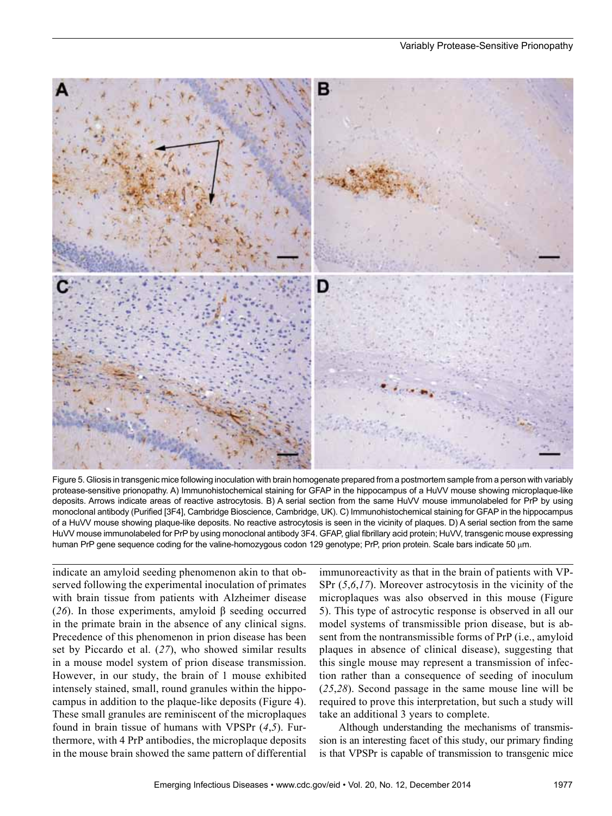

Figure 5. Gliosis in transgenic mice following inoculation with brain homogenate prepared from a postmortem sample from a person with variably protease-sensitive prionopathy. A) Immunohistochemical staining for GFAP in the hippocampus of a HuVV mouse showing microplaque-like deposits. Arrows indicate areas of reactive astrocytosis. B) A serial section from the same HuVV mouse immunolabeled for PrP by using monoclonal antibody (Purified [3F4], Cambridge Bioscience, Cambridge, UK). C) Immunohistochemical staining for GFAP in the hippocampus of a HuVV mouse showing plaque-like deposits. No reactive astrocytosis is seen in the vicinity of plaques. D) A serial section from the same HuVV mouse immunolabeled for PrP by using monoclonal antibody 3F4. GFAP, glial fibrillary acid protein; HuVV, transgenic mouse expressing human PrP gene sequence coding for the valine-homozygous codon 129 genotype; PrP, prion protein. Scale bars indicate 50 μm.

indicate an amyloid seeding phenomenon akin to that observed following the experimental inoculation of primates with brain tissue from patients with Alzheimer disease (*26*). In those experiments, amyloid β seeding occurred in the primate brain in the absence of any clinical signs. Precedence of this phenomenon in prion disease has been set by Piccardo et al. (*27*), who showed similar results in a mouse model system of prion disease transmission. However, in our study, the brain of 1 mouse exhibited intensely stained, small, round granules within the hippocampus in addition to the plaque-like deposits (Figure 4). These small granules are reminiscent of the microplaques found in brain tissue of humans with VPSPr (*4*,*5*). Furthermore, with 4 PrP antibodies, the microplaque deposits in the mouse brain showed the same pattern of differential

immunoreactivity as that in the brain of patients with VP-SPr (*5*,*6*,*17*). Moreover astrocytosis in the vicinity of the microplaques was also observed in this mouse (Figure 5). This type of astrocytic response is observed in all our model systems of transmissible prion disease, but is absent from the nontransmissible forms of PrP (i.e., amyloid plaques in absence of clinical disease), suggesting that this single mouse may represent a transmission of infection rather than a consequence of seeding of inoculum (*25*,*28*). Second passage in the same mouse line will be required to prove this interpretation, but such a study will take an additional 3 years to complete.

Although understanding the mechanisms of transmission is an interesting facet of this study, our primary finding is that VPSPr is capable of transmission to transgenic mice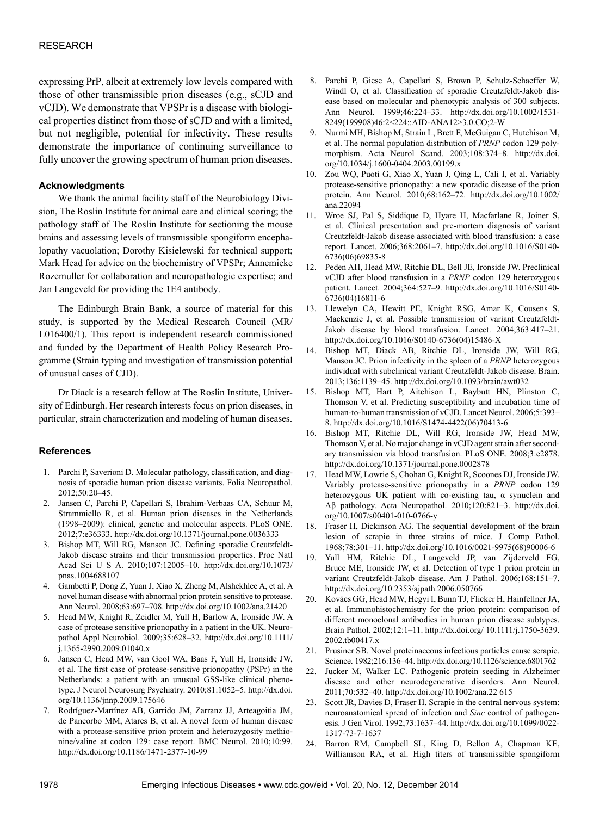expressing PrP, albeit at extremely low levels compared with those of other transmissible prion diseases (e.g., sCJD and vCJD). We demonstrate that VPSPr is a disease with biological properties distinct from those of sCJD and with a limited, but not negligible, potential for infectivity. These results demonstrate the importance of continuing surveillance to fully uncover the growing spectrum of human prion diseases.

#### **Acknowledgments**

We thank the animal facility staff of the Neurobiology Division, The Roslin Institute for animal care and clinical scoring; the pathology staff of The Roslin Institute for sectioning the mouse brains and assessing levels of transmissible spongiform encephalopathy vacuolation; Dorothy Kisielewski for technical support; Mark Head for advice on the biochemistry of VPSPr; Annemieke Rozemuller for collaboration and neuropathologic expertise; and Jan Langeveld for providing the 1E4 antibody.

The Edinburgh Brain Bank, a source of material for this study, is supported by the Medical Research Council (MR/ L016400/1). This report is independent research commissioned and funded by the Department of Health Policy Research Programme (Strain typing and investigation of transmission potential of unusual cases of CJD).

Dr Diack is a research fellow at The Roslin Institute, University of Edinburgh. Her research interests focus on prion diseases, in particular, strain characterization and modeling of human diseases.

#### **References**

- 1. Parchi P, Saverioni D. Molecular pathology, classification, and diagnosis of sporadic human prion disease variants. Folia Neuropathol. 2012;50:20–45.
- 2. Jansen C, Parchi P, Capellari S, Ibrahim-Verbaas CA, Schuur M, Strammiello R, et al. Human prion diseases in the Netherlands (1998–2009): clinical, genetic and molecular aspects. PLoS ONE. 2012;7:e36333. http://dx.doi.org/10.1371/journal.pone.0036333
- 3. Bishop MT, Will RG, Manson JC. Defining sporadic Creutzfeldt-Jakob disease strains and their transmission properties. Proc Natl Acad Sci U S A. 2010;107:12005–10. http://dx.doi.org/10.1073/ pnas.1004688107
- 4. Gambetti P, Dong Z, Yuan J, Xiao X, Zheng M, Alshekhlee A, et al. A novel human disease with abnormal prion protein sensitive to protease. Ann Neurol. 2008;63:697–708. http://dx.doi.org/10.1002/ana.21420
- 5. Head MW, Knight R, Zeidler M, Yull H, Barlow A, Ironside JW. A case of protease sensitive prionopathy in a patient in the UK. Neuropathol Appl Neurobiol. 2009;35:628–32. http://dx.doi.org/10.1111/ j.1365-2990.2009.01040.x
- 6. Jansen C, Head MW, van Gool WA, Baas F, Yull H, Ironside JW, et al. The first case of protease-sensitive prionopathy (PSPr) in the Netherlands: a patient with an unusual GSS-like clinical phenotype. J Neurol Neurosurg Psychiatry. 2010;81:1052–5. http://dx.doi. org/10.1136/jnnp.2009.175646
- 7. Rodríguez-Martínez AB, Garrido JM, Zarranz JJ, Arteagoitia JM, de Pancorbo MM, Atares B, et al. A novel form of human disease with a protease-sensitive prion protein and heterozygosity methionine/valine at codon 129: case report. BMC Neurol. 2010;10:99. http://dx.doi.org/10.1186/1471-2377-10-99
- 8. Parchi P, Giese A, Capellari S, Brown P, Schulz-Schaeffer W, Windl O, et al. Classification of sporadic Creutzfeldt-Jakob disease based on molecular and phenotypic analysis of 300 subjects. Ann Neurol. 1999;46:224–33. http://dx.doi.org/10.1002/1531- 8249(199908)46:2<224::AID-ANA12>3.0.CO;2-W
- 9. Nurmi MH, Bishop M, Strain L, Brett F, McGuigan C, Hutchison M, et al. The normal population distribution of *PRNP* codon 129 polymorphism. Acta Neurol Scand. 2003;108:374–8. http://dx.doi. org/10.1034/j.1600-0404.2003.00199.x
- 10. Zou WQ, Puoti G, Xiao X, Yuan J, Qing L, Cali I, et al. Variably protease-sensitive prionopathy: a new sporadic disease of the prion protein. Ann Neurol. 2010;68:162–72. http://dx.doi.org/10.1002/ ana.22094
- 11. Wroe SJ, Pal S, Siddique D, Hyare H, Macfarlane R, Joiner S, et al. Clinical presentation and pre-mortem diagnosis of variant Creutzfeldt-Jakob disease associated with blood transfusion: a case report. Lancet. 2006;368:2061–7. http://dx.doi.org/10.1016/S0140- 6736(06)69835-8
- 12. Peden AH, Head MW, Ritchie DL, Bell JE, Ironside JW. Preclinical vCJD after blood transfusion in a *PRNP* codon 129 heterozygous patient. Lancet. 2004;364:527–9. http://dx.doi.org/10.1016/S0140- 6736(04)16811-6
- 13. Llewelyn CA, Hewitt PE, Knight RSG, Amar K, Cousens S, Mackenzie J, et al. Possible transmission of variant Creutzfeldt-Jakob disease by blood transfusion. Lancet. 2004;363:417–21. http://dx.doi.org/10.1016/S0140-6736(04)15486-X
- 14. Bishop MT, Diack AB, Ritchie DL, Ironside JW, Will RG, Manson JC. Prion infectivity in the spleen of a *PRNP* heterozygous individual with subclinical variant Creutzfeldt-Jakob disease. Brain. 2013;136:1139–45. http://dx.doi.org/10.1093/brain/awt032
- 15. Bishop MT, Hart P, Aitchison L, Baybutt HN, Plinston C, Thomson V, et al. Predicting susceptibility and incubation time of human-to-human transmission of vCJD. Lancet Neurol. 2006;5:393– 8. http://dx.doi.org/10.1016/S1474-4422(06)70413-6
- 16. Bishop MT, Ritchie DL, Will RG, Ironside JW, Head MW, Thomson V, et al. No major change in vCJD agent strain after secondary transmission via blood transfusion. PLoS ONE. 2008;3:e2878. http://dx.doi.org/10.1371/journal.pone.0002878
- 17. Head MW, Lowrie S, Chohan G, Knight R, Scoones DJ, Ironside JW. Variably protease-sensitive prionopathy in a *PRNP* codon 129 heterozygous UK patient with co-existing tau, α synuclein and Aβ pathology. Acta Neuropathol. 2010;120:821–3. http://dx.doi. org/10.1007/s00401-010-0766-y
- 18. Fraser H, Dickinson AG. The sequential development of the brain lesion of scrapie in three strains of mice. J Comp Pathol. 1968;78:301–11. http://dx.doi.org/10.1016/0021-9975(68)90006-6
- 19. Yull HM, Ritchie DL, Langeveld JP, van Zijderveld FG, Bruce ME, Ironside JW, et al. Detection of type 1 prion protein in variant Creutzfeldt-Jakob disease. Am J Pathol. 2006;168:151–7. http://dx.doi.org/10.2353/ajpath.2006.050766
- 20. Kovács GG, Head MW, Hegyi I, Bunn TJ, Flicker H, Hainfellner JA, et al. Immunohistochemistry for the prion protein: comparison of different monoclonal antibodies in human prion disease subtypes. Brain Pathol. 2002;12:1–11. http://dx.doi.org/ 10.1111/j.1750-3639. 2002.tb00417.x
- 21. Prusiner SB. Novel proteinaceous infectious particles cause scrapie. Science. 1982;216:136–44. http://dx.doi.org/10.1126/science.6801762
- 22. Jucker M, Walker LC. Pathogenic protein seeding in Alzheimer disease and other neurodegenerative disorders. Ann Neurol. 2011;70:532–40. http://dx.doi.org/10.1002/ana.22 615
- 23. Scott JR, Davies D, Fraser H. Scrapie in the central nervous system: neuroanatomical spread of infection and *Sinc* control of pathogenesis. J Gen Virol. 1992;73:1637–44. http://dx.doi.org/10.1099/0022- 1317-73-7-1637
- 24. Barron RM, Campbell SL, King D, Bellon A, Chapman KE, Williamson RA, et al. High titers of transmissible spongiform